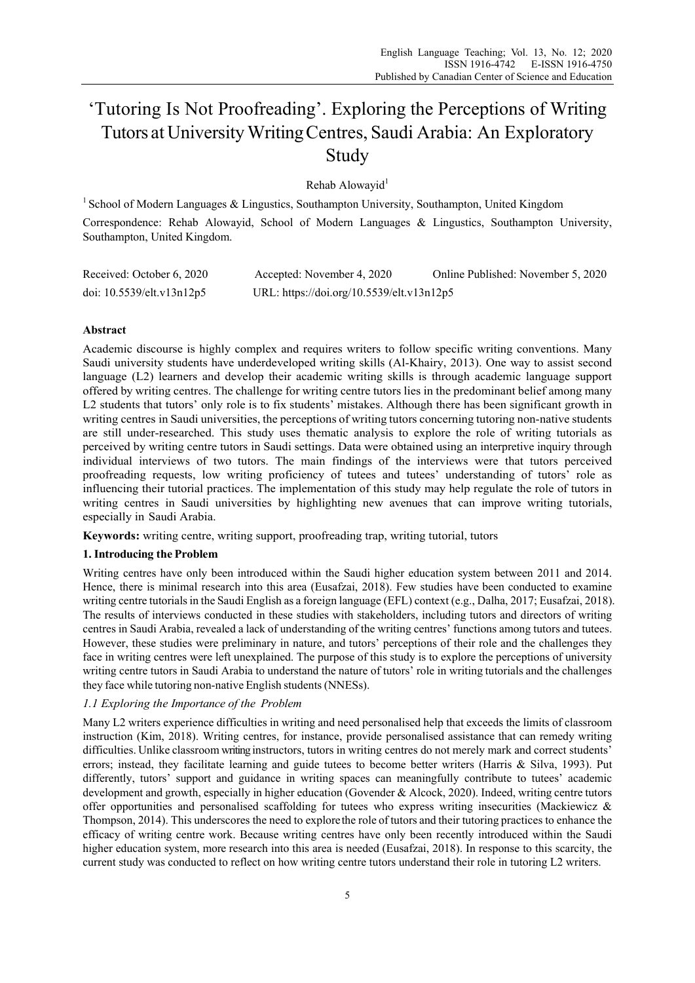# 'Tutoring Is Not Proofreading'. Exploring the Perceptions of Writing Tutors at University Writing Centres, Saudi Arabia: An Exploratory Study

Rehab Alowayid<sup>1</sup>

<sup>1</sup> School of Modern Languages & Lingustics, Southampton University, Southampton, United Kingdom

Correspondence: Rehab Alowayid, School of Modern Languages & Lingustics, Southampton University, Southampton, United Kingdom.

| Received: October 6, 2020 | Accepted: November 4, 2020                | Online Published: November 5, 2020 |
|---------------------------|-------------------------------------------|------------------------------------|
| doi: 10.5539/elt.v13n12p5 | URL: https://doi.org/10.5539/elt.v13n12p5 |                                    |

# **Abstract**

Academic discourse is highly complex and requires writers to follow specific writing conventions. Many Saudi university students have underdeveloped writing skills (Al-Khairy, 2013). One way to assist second language (L2) learners and develop their academic writing skills is through academic language support offered by writing centres. The challenge for writing centre tutors lies in the predominant belief among many L2 students that tutors' only role is to fix students' mistakes. Although there has been significant growth in writing centres in Saudi universities, the perceptions of writing tutors concerning tutoring non-native students are still under-researched. This study uses thematic analysis to explore the role of writing tutorials as perceived by writing centre tutors in Saudi settings. Data were obtained using an interpretive inquiry through individual interviews of two tutors. The main findings of the interviews were that tutors perceived proofreading requests, low writing proficiency of tutees and tutees' understanding of tutors' role as influencing their tutorial practices. The implementation of this study may help regulate the role of tutors in writing centres in Saudi universities by highlighting new avenues that can improve writing tutorials, especially in Saudi Arabia.

**Keywords:** writing centre, writing support, proofreading trap, writing tutorial, tutors

# **1. Introducing the Problem**

Writing centres have only been introduced within the Saudi higher education system between 2011 and 2014. Hence, there is minimal research into this area (Eusafzai, 2018). Few studies have been conducted to examine writing centre tutorials in the Saudi English as a foreign language (EFL) context (e.g., Dalha, 2017; Eusafzai, 2018). The results of interviews conducted in these studies with stakeholders, including tutors and directors of writing centres in Saudi Arabia, revealed a lack of understanding of the writing centres' functions among tutors and tutees. However, these studies were preliminary in nature, and tutors' perceptions of their role and the challenges they face in writing centres were left unexplained. The purpose of this study is to explore the perceptions of university writing centre tutors in Saudi Arabia to understand the nature of tutors' role in writing tutorials and the challenges they face while tutoring non-native English students (NNESs).

# *1.1 Exploring the Importance of the Problem*

Many L2 writers experience difficulties in writing and need personalised help that exceeds the limits of classroom instruction (Kim, 2018). Writing centres, for instance, provide personalised assistance that can remedy writing difficulties. Unlike classroom writing instructors, tutors in writing centres do not merely mark and correct students' errors; instead, they facilitate learning and guide tutees to become better writers (Harris & Silva, 1993). Put differently, tutors' support and guidance in writing spaces can meaningfully contribute to tutees' academic development and growth, especially in higher education (Govender & Alcock, 2020). Indeed, writing centre tutors offer opportunities and personalised scaffolding for tutees who express writing insecurities (Mackiewicz & Thompson, 2014). This underscores the need to explore the role of tutors and their tutoring practices to enhance the efficacy of writing centre work. Because writing centres have only been recently introduced within the Saudi higher education system, more research into this area is needed (Eusafzai, 2018). In response to this scarcity, the current study was conducted to reflect on how writing centre tutors understand their role in tutoring L2 writers.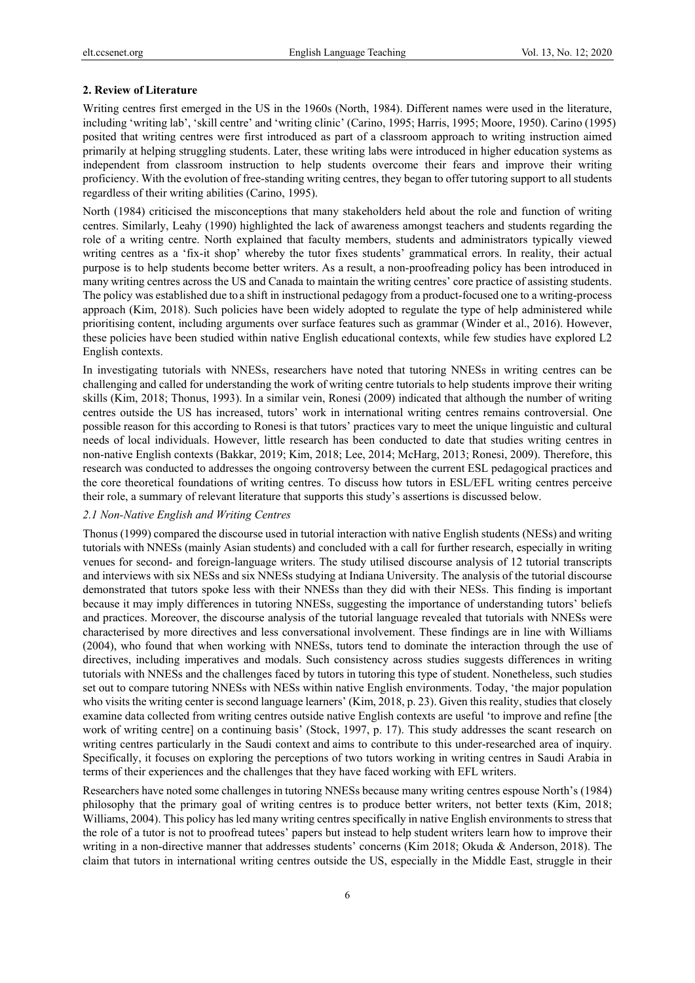# **2. Review of Literature**

Writing centres first emerged in the US in the 1960s (North, 1984). Different names were used in the literature, including 'writing lab', 'skill centre' and 'writing clinic' (Carino, 1995; Harris, 1995; Moore, 1950). Carino (1995) posited that writing centres were first introduced as part of a classroom approach to writing instruction aimed primarily at helping struggling students. Later, these writing labs were introduced in higher education systems as independent from classroom instruction to help students overcome their fears and improve their writing proficiency. With the evolution of free-standing writing centres, they began to offer tutoring support to all students regardless of their writing abilities (Carino, 1995).

North (1984) criticised the misconceptions that many stakeholders held about the role and function of writing centres. Similarly, Leahy (1990) highlighted the lack of awareness amongst teachers and students regarding the role of a writing centre. North explained that faculty members, students and administrators typically viewed writing centres as a 'fix-it shop' whereby the tutor fixes students' grammatical errors. In reality, their actual purpose is to help students become better writers. As a result, a non-proofreading policy has been introduced in many writing centres across the US and Canada to maintain the writing centres' core practice of assisting students. The policy was established due to a shift in instructional pedagogy from a product-focused one to a writing-process approach (Kim, 2018). Such policies have been widely adopted to regulate the type of help administered while prioritising content, including arguments over surface features such as grammar (Winder et al., 2016). However, these policies have been studied within native English educational contexts, while few studies have explored L2 English contexts.

In investigating tutorials with NNESs, researchers have noted that tutoring NNESs in writing centres can be challenging and called for understanding the work of writing centre tutorials to help students improve their writing skills (Kim, 2018; Thonus, 1993). In a similar vein, Ronesi (2009) indicated that although the number of writing centres outside the US has increased, tutors' work in international writing centres remains controversial. One possible reason for this according to Ronesi is that tutors' practices vary to meet the unique linguistic and cultural needs of local individuals. However, little research has been conducted to date that studies writing centres in non-native English contexts (Bakkar, 2019; Kim, 2018; Lee, 2014; McHarg, 2013; Ronesi, 2009). Therefore, this research was conducted to addresses the ongoing controversy between the current ESL pedagogical practices and the core theoretical foundations of writing centres. To discuss how tutors in ESL/EFL writing centres perceive their role, a summary of relevant literature that supports this study's assertions is discussed below.

## *2.1 Non-Native English and Writing Centres*

Thonus (1999) compared the discourse used in tutorial interaction with native English students (NESs) and writing tutorials with NNESs (mainly Asian students) and concluded with a call for further research, especially in writing venues for second- and foreign-language writers. The study utilised discourse analysis of 12 tutorial transcripts and interviews with six NESs and six NNESs studying at Indiana University. The analysis of the tutorial discourse demonstrated that tutors spoke less with their NNESs than they did with their NESs. This finding is important because it may imply differences in tutoring NNESs, suggesting the importance of understanding tutors' beliefs and practices. Moreover, the discourse analysis of the tutorial language revealed that tutorials with NNESs were characterised by more directives and less conversational involvement. These findings are in line with Williams (2004), who found that when working with NNESs, tutors tend to dominate the interaction through the use of directives, including imperatives and modals. Such consistency across studies suggests differences in writing tutorials with NNESs and the challenges faced by tutors in tutoring this type of student. Nonetheless, such studies set out to compare tutoring NNESs with NESs within native English environments. Today, 'the major population who visits the writing center is second language learners' (Kim, 2018, p. 23). Given this reality, studies that closely examine data collected from writing centres outside native English contexts are useful 'to improve and refine [the work of writing centre] on a continuing basis' (Stock, 1997, p. 17). This study addresses the scant research on writing centres particularly in the Saudi context and aims to contribute to this under-researched area of inquiry. Specifically, it focuses on exploring the perceptions of two tutors working in writing centres in Saudi Arabia in terms of their experiences and the challenges that they have faced working with EFL writers.

Researchers have noted some challenges in tutoring NNESs because many writing centres espouse North's (1984) philosophy that the primary goal of writing centres is to produce better writers, not better texts (Kim, 2018; Williams, 2004). This policy has led many writing centres specifically in native English environments to stress that the role of a tutor is not to proofread tutees' papers but instead to help student writers learn how to improve their writing in a non-directive manner that addresses students' concerns (Kim 2018; Okuda & Anderson, 2018). The claim that tutors in international writing centres outside the US, especially in the Middle East, struggle in their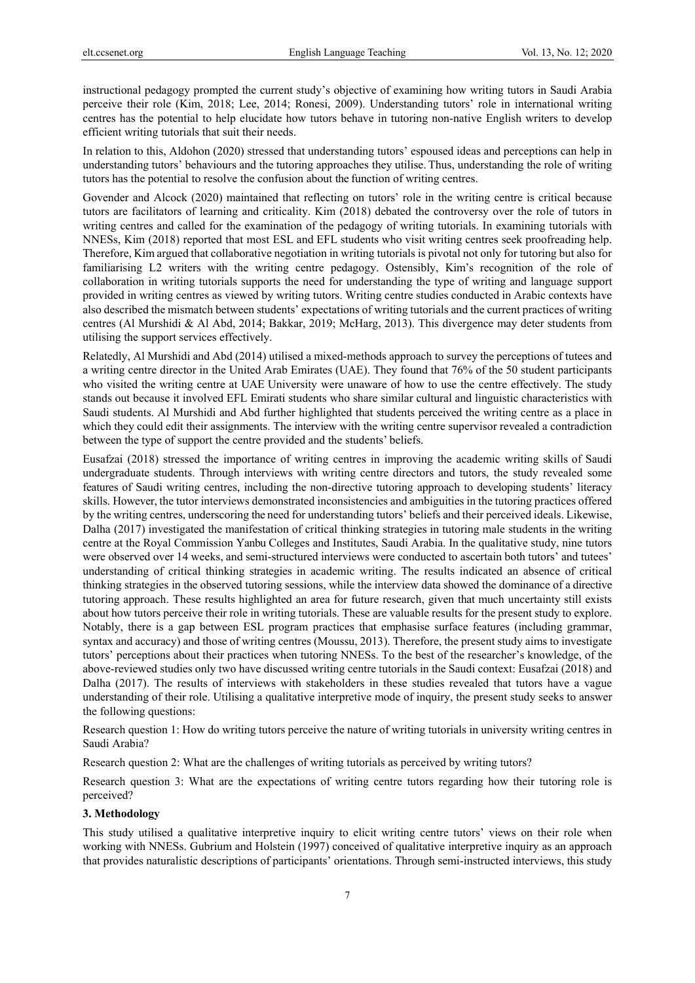instructional pedagogy prompted the current study's objective of examining how writing tutors in Saudi Arabia perceive their role (Kim, 2018; Lee, 2014; Ronesi, 2009). Understanding tutors' role in international writing centres has the potential to help elucidate how tutors behave in tutoring non-native English writers to develop efficient writing tutorials that suit their needs.

In relation to this, Aldohon (2020) stressed that understanding tutors' espoused ideas and perceptions can help in understanding tutors' behaviours and the tutoring approaches they utilise. Thus, understanding the role of writing tutors has the potential to resolve the confusion about the function of writing centres.

Govender and Alcock (2020) maintained that reflecting on tutors' role in the writing centre is critical because tutors are facilitators of learning and criticality. Kim (2018) debated the controversy over the role of tutors in writing centres and called for the examination of the pedagogy of writing tutorials. In examining tutorials with NNESs, Kim (2018) reported that most ESL and EFL students who visit writing centres seek proofreading help. Therefore, Kim argued that collaborative negotiation in writing tutorials is pivotal not only for tutoring but also for familiarising L2 writers with the writing centre pedagogy. Ostensibly, Kim's recognition of the role of collaboration in writing tutorials supports the need for understanding the type of writing and language support provided in writing centres as viewed by writing tutors. Writing centre studies conducted in Arabic contexts have also described the mismatch between students' expectations of writing tutorials and the current practices of writing centres (Al Murshidi & Al Abd, 2014; Bakkar, 2019; McHarg, 2013). This divergence may deter students from utilising the support services effectively.

Relatedly, Al Murshidi and Abd (2014) utilised a mixed-methods approach to survey the perceptions of tutees and a writing centre director in the United Arab Emirates (UAE). They found that 76% of the 50 student participants who visited the writing centre at UAE University were unaware of how to use the centre effectively. The study stands out because it involved EFL Emirati students who share similar cultural and linguistic characteristics with Saudi students. Al Murshidi and Abd further highlighted that students perceived the writing centre as a place in which they could edit their assignments. The interview with the writing centre supervisor revealed a contradiction between the type of support the centre provided and the students' beliefs.

Eusafzai (2018) stressed the importance of writing centres in improving the academic writing skills of Saudi undergraduate students. Through interviews with writing centre directors and tutors, the study revealed some features of Saudi writing centres, including the non-directive tutoring approach to developing students' literacy skills. However, the tutor interviews demonstrated inconsistencies and ambiguities in the tutoring practices offered by the writing centres, underscoring the need for understanding tutors' beliefs and their perceived ideals. Likewise, Dalha (2017) investigated the manifestation of critical thinking strategies in tutoring male students in the writing centre at the Royal Commission Yanbu Colleges and Institutes, Saudi Arabia. In the qualitative study, nine tutors were observed over 14 weeks, and semi-structured interviews were conducted to ascertain both tutors' and tutees' understanding of critical thinking strategies in academic writing. The results indicated an absence of critical thinking strategies in the observed tutoring sessions, while the interview data showed the dominance of a directive tutoring approach. These results highlighted an area for future research, given that much uncertainty still exists about how tutors perceive their role in writing tutorials. These are valuable results for the present study to explore. Notably, there is a gap between ESL program practices that emphasise surface features (including grammar, syntax and accuracy) and those of writing centres (Moussu, 2013). Therefore, the present study aims to investigate tutors' perceptions about their practices when tutoring NNESs. To the best of the researcher's knowledge, of the above-reviewed studies only two have discussed writing centre tutorials in the Saudi context: Eusafzai (2018) and Dalha (2017). The results of interviews with stakeholders in these studies revealed that tutors have a vague understanding of their role. Utilising a qualitative interpretive mode of inquiry, the present study seeks to answer the following questions:

Research question 1: How do writing tutors perceive the nature of writing tutorials in university writing centres in Saudi Arabia?

Research question 2: What are the challenges of writing tutorials as perceived by writing tutors?

Research question 3: What are the expectations of writing centre tutors regarding how their tutoring role is perceived?

#### **3. Methodology**

This study utilised a qualitative interpretive inquiry to elicit writing centre tutors' views on their role when working with NNESs. Gubrium and Holstein (1997) conceived of qualitative interpretive inquiry as an approach that provides naturalistic descriptions of participants' orientations. Through semi-instructed interviews, this study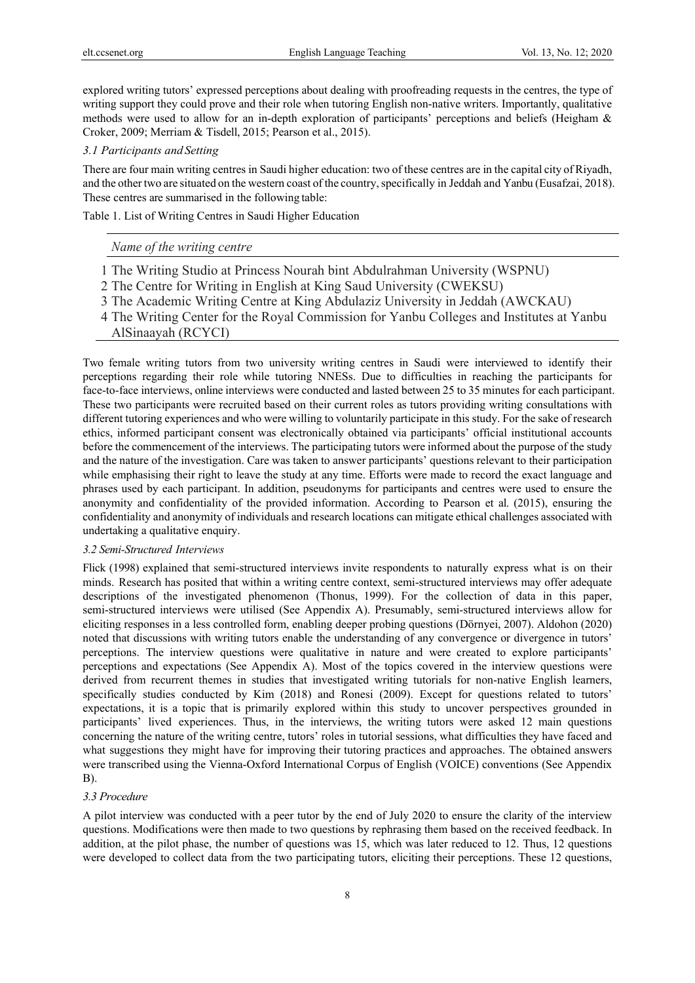explored writing tutors' expressed perceptions about dealing with proofreading requests in the centres, the type of writing support they could prove and their role when tutoring English non-native writers. Importantly, qualitative methods were used to allow for an in-depth exploration of participants' perceptions and beliefs (Heigham & Croker, 2009; Merriam & Tisdell, 2015; Pearson et al., 2015).

## *3.1 Participants and Setting*

There are four main writing centres in Saudi higher education: two of these centres are in the capital city of Riyadh, and the other two are situated on the western coast of the country, specifically in Jeddah and Yanbu (Eusafzai, 2018). These centres are summarised in the following table:

Table 1. List of Writing Centres in Saudi Higher Education

# *Name of the writing centre*

- 1 The Writing Studio at Princess Nourah bint Abdulrahman University (WSPNU)
- 2 The Centre for Writing in English at King Saud University (CWEKSU)
- 3 The Academic Writing Centre at King Abdulaziz University in Jeddah (AWCKAU)
- 4 The Writing Center for the Royal Commission for Yanbu Colleges and Institutes at Yanbu
- AlSinaayah (RCYCI)

Two female writing tutors from two university writing centres in Saudi were interviewed to identify their perceptions regarding their role while tutoring NNESs. Due to difficulties in reaching the participants for face-to-face interviews, online interviews were conducted and lasted between 25 to 35 minutes for each participant. These two participants were recruited based on their current roles as tutors providing writing consultations with different tutoring experiences and who were willing to voluntarily participate in this study. For the sake of research ethics, informed participant consent was electronically obtained via participants' official institutional accounts before the commencement of the interviews. The participating tutors were informed about the purpose of the study and the nature of the investigation. Care was taken to answer participants' questions relevant to their participation while emphasising their right to leave the study at any time. Efforts were made to record the exact language and phrases used by each participant. In addition, pseudonyms for participants and centres were used to ensure the anonymity and confidentiality of the provided information. According to Pearson et al. (2015), ensuring the confidentiality and anonymity of individuals and research locations can mitigate ethical challenges associated with undertaking a qualitative enquiry.

#### *3.2 Semi-Structured Interviews*

Flick (1998) explained that semi-structured interviews invite respondents to naturally express what is on their minds. Research has posited that within a writing centre context, semi-structured interviews may offer adequate descriptions of the investigated phenomenon (Thonus, 1999). For the collection of data in this paper, semi-structured interviews were utilised (See Appendix A). Presumably, semi-structured interviews allow for eliciting responses in a less controlled form, enabling deeper probing questions (Dörnyei, 2007). Aldohon (2020) noted that discussions with writing tutors enable the understanding of any convergence or divergence in tutors' perceptions. The interview questions were qualitative in nature and were created to explore participants' perceptions and expectations (See Appendix A). Most of the topics covered in the interview questions were derived from recurrent themes in studies that investigated writing tutorials for non-native English learners, specifically studies conducted by Kim (2018) and Ronesi (2009). Except for questions related to tutors' expectations, it is a topic that is primarily explored within this study to uncover perspectives grounded in participants' lived experiences. Thus, in the interviews, the writing tutors were asked 12 main questions concerning the nature of the writing centre, tutors' roles in tutorial sessions, what difficulties they have faced and what suggestions they might have for improving their tutoring practices and approaches. The obtained answers were transcribed using the Vienna-Oxford International Corpus of English (VOICE) conventions (See Appendix B).

## *3.3 Procedure*

A pilot interview was conducted with a peer tutor by the end of July 2020 to ensure the clarity of the interview questions. Modifications were then made to two questions by rephrasing them based on the received feedback. In addition, at the pilot phase, the number of questions was 15, which was later reduced to 12. Thus, 12 questions were developed to collect data from the two participating tutors, eliciting their perceptions. These 12 questions,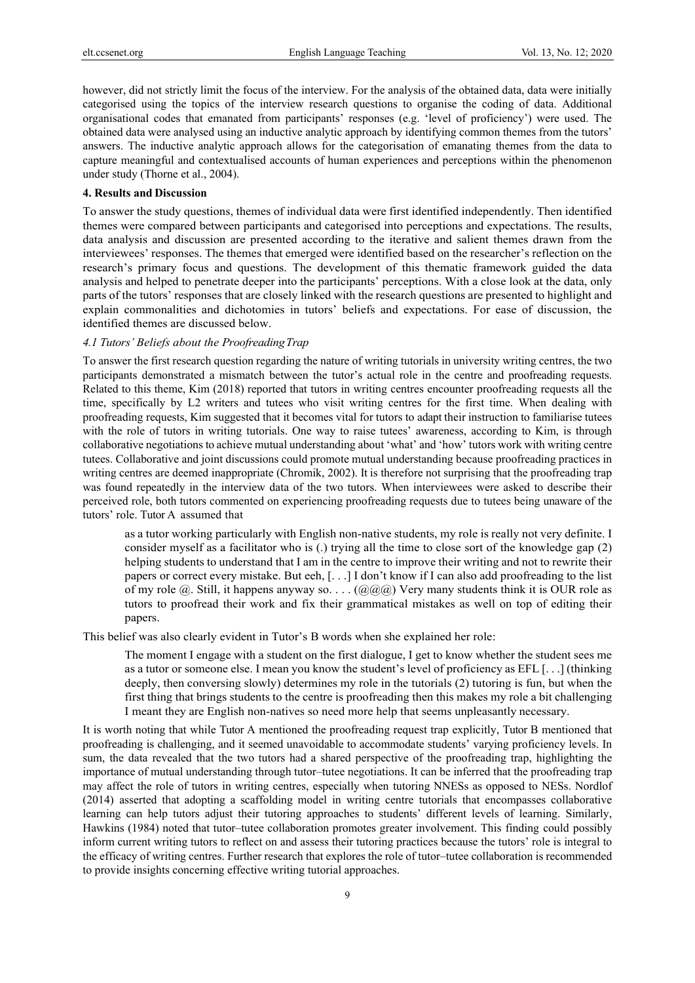however, did not strictly limit the focus of the interview. For the analysis of the obtained data, data were initially categorised using the topics of the interview research questions to organise the coding of data. Additional organisational codes that emanated from participants' responses (e.g. 'level of proficiency') were used. The obtained data were analysed using an inductive analytic approach by identifying common themes from the tutors' answers. The inductive analytic approach allows for the categorisation of emanating themes from the data to capture meaningful and contextualised accounts of human experiences and perceptions within the phenomenon under study (Thorne et al., 2004).

#### **4. Results and Discussion**

To answer the study questions, themes of individual data were first identified independently. Then identified themes were compared between participants and categorised into perceptions and expectations. The results, data analysis and discussion are presented according to the iterative and salient themes drawn from the interviewees' responses. The themes that emerged were identified based on the researcher's reflection on the research's primary focus and questions. The development of this thematic framework guided the data analysis and helped to penetrate deeper into the participants' perceptions. With a close look at the data, only parts of the tutors' responses that are closely linked with the research questions are presented to highlight and explain commonalities and dichotomies in tutors' beliefs and expectations. For ease of discussion, the identified themes are discussed below.

## *4.1 Tutors' Beliefs about the Proofreading Trap*

To answer the first research question regarding the nature of writing tutorials in university writing centres, the two participants demonstrated a mismatch between the tutor's actual role in the centre and proofreading requests. Related to this theme, Kim (2018) reported that tutors in writing centres encounter proofreading requests all the time, specifically by L2 writers and tutees who visit writing centres for the first time. When dealing with proofreading requests, Kim suggested that it becomes vital for tutors to adapt their instruction to familiarise tutees with the role of tutors in writing tutorials. One way to raise tutees' awareness, according to Kim, is through collaborative negotiations to achieve mutual understanding about 'what' and 'how' tutors work with writing centre tutees. Collaborative and joint discussions could promote mutual understanding because proofreading practices in writing centres are deemed inappropriate (Chromik, 2002). It is therefore not surprising that the proofreading trap was found repeatedly in the interview data of the two tutors. When interviewees were asked to describe their perceived role, both tutors commented on experiencing proofreading requests due to tutees being unaware of the tutors' role. Tutor A assumed that

as a tutor working particularly with English non-native students, my role is really not very definite. I consider myself as a facilitator who is (.) trying all the time to close sort of the knowledge gap (2) helping students to understand that I am in the centre to improve their writing and not to rewrite their papers or correct every mistake. But eeh, [. . .] I don't know if I can also add proofreading to the list of my role  $\omega$ . Still, it happens anyway so. . . .  $(\omega \omega)$  Very many students think it is OUR role as tutors to proofread their work and fix their grammatical mistakes as well on top of editing their papers.

This belief was also clearly evident in Tutor's B words when she explained her role:

The moment I engage with a student on the first dialogue, I get to know whether the student sees me as a tutor or someone else. I mean you know the student's level of proficiency as EFL [. . .] (thinking deeply, then conversing slowly) determines my role in the tutorials (2) tutoring is fun, but when the first thing that brings students to the centre is proofreading then this makes my role a bit challenging I meant they are English non-natives so need more help that seems unpleasantly necessary.

It is worth noting that while Tutor A mentioned the proofreading request trap explicitly, Tutor B mentioned that proofreading is challenging, and it seemed unavoidable to accommodate students' varying proficiency levels. In sum, the data revealed that the two tutors had a shared perspective of the proofreading trap, highlighting the importance of mutual understanding through tutor–tutee negotiations. It can be inferred that the proofreading trap may affect the role of tutors in writing centres, especially when tutoring NNESs as opposed to NESs. Nordlof (2014) asserted that adopting a scaffolding model in writing centre tutorials that encompasses collaborative learning can help tutors adjust their tutoring approaches to students' different levels of learning. Similarly, Hawkins (1984) noted that tutor–tutee collaboration promotes greater involvement. This finding could possibly inform current writing tutors to reflect on and assess their tutoring practices because the tutors' role is integral to the efficacy of writing centres. Further research that explores the role of tutor–tutee collaboration is recommended to provide insights concerning effective writing tutorial approaches.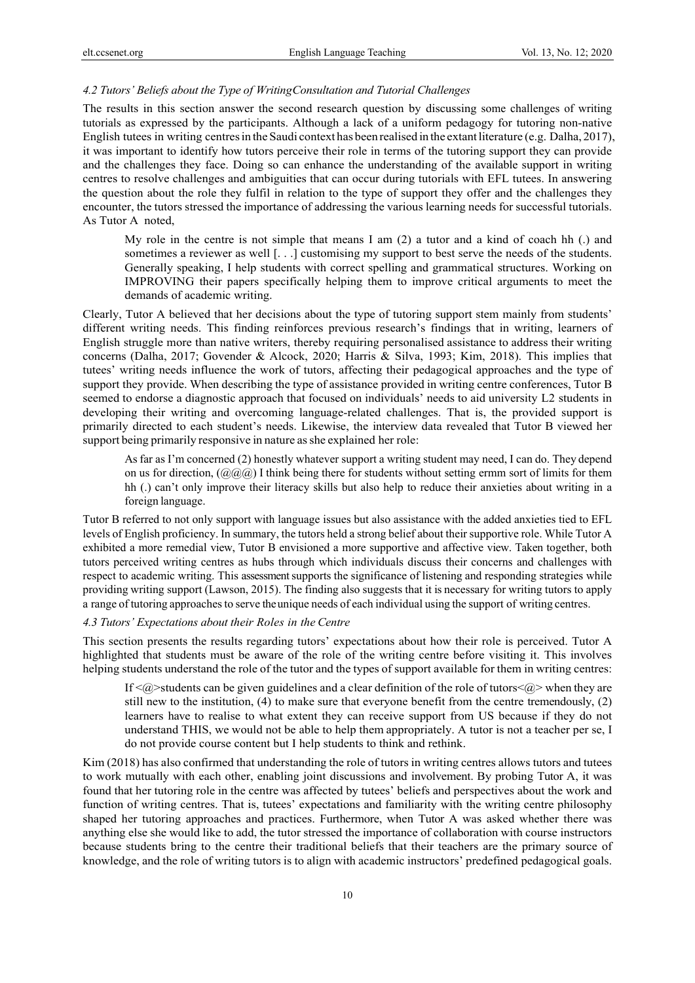### *4.2 Tutors' Beliefs about the Type of Writing Consultation and Tutorial Challenges*

The results in this section answer the second research question by discussing some challenges of writing tutorials as expressed by the participants. Although a lack of a uniform pedagogy for tutoring non-native English tutees in writing centres in the Saudi context has been realised in the extant literature (e.g. Dalha, 2017), it was important to identify how tutors perceive their role in terms of the tutoring support they can provide and the challenges they face. Doing so can enhance the understanding of the available support in writing centres to resolve challenges and ambiguities that can occur during tutorials with EFL tutees. In answering the question about the role they fulfil in relation to the type of support they offer and the challenges they encounter, the tutors stressed the importance of addressing the various learning needs for successful tutorials. As Tutor A noted,

My role in the centre is not simple that means I am  $(2)$  a tutor and a kind of coach hh  $(.)$  and sometimes a reviewer as well [...] customising my support to best serve the needs of the students. Generally speaking, I help students with correct spelling and grammatical structures. Working on IMPROVING their papers specifically helping them to improve critical arguments to meet the demands of academic writing.

Clearly, Tutor A believed that her decisions about the type of tutoring support stem mainly from students' different writing needs. This finding reinforces previous research's findings that in writing, learners of English struggle more than native writers, thereby requiring personalised assistance to address their writing concerns (Dalha, 2017; Govender & Alcock, 2020; Harris & Silva, 1993; Kim, 2018). This implies that tutees' writing needs influence the work of tutors, affecting their pedagogical approaches and the type of support they provide. When describing the type of assistance provided in writing centre conferences, Tutor B seemed to endorse a diagnostic approach that focused on individuals' needs to aid university L2 students in developing their writing and overcoming language-related challenges. That is, the provided support is primarily directed to each student's needs. Likewise, the interview data revealed that Tutor B viewed her support being primarily responsive in nature as she explained her role:

As far as I'm concerned (2) honestly whatever support a writing student may need, I can do. They depend on us for direction,  $(Q\ddot{Q}\ddot{Q})$  I think being there for students without setting ermm sort of limits for them hh (.) can't only improve their literacy skills but also help to reduce their anxieties about writing in a foreign language.

Tutor B referred to not only support with language issues but also assistance with the added anxieties tied to EFL levels of English proficiency. In summary, the tutors held a strong belief about their supportive role. While Tutor A exhibited a more remedial view, Tutor B envisioned a more supportive and affective view. Taken together, both tutors perceived writing centres as hubs through which individuals discuss their concerns and challenges with respect to academic writing. This assessment supports the significance of listening and responding strategies while providing writing support (Lawson, 2015). The finding also suggests that it is necessary for writing tutors to apply a range of tutoring approaches to serve the unique needs of each individual using the support of writing centres.

## *4.3 Tutors' Expectations about their Roles in the Centre*

This section presents the results regarding tutors' expectations about how their role is perceived. Tutor A highlighted that students must be aware of the role of the writing centre before visiting it. This involves helping students understand the role of the tutor and the types of support available for them in writing centres:

If  $\langle a \rangle$ -students can be given guidelines and a clear definition of the role of tutors  $\langle a \rangle$  when they are still new to the institution, (4) to make sure that everyone benefit from the centre tremendously, (2) learners have to realise to what extent they can receive support from US because if they do not understand THIS, we would not be able to help them appropriately. A tutor is not a teacher per se, I do not provide course content but I help students to think and rethink.

Kim (2018) has also confirmed that understanding the role of tutors in writing centres allows tutors and tutees to work mutually with each other, enabling joint discussions and involvement. By probing Tutor A, it was found that her tutoring role in the centre was affected by tutees' beliefs and perspectives about the work and function of writing centres. That is, tutees' expectations and familiarity with the writing centre philosophy shaped her tutoring approaches and practices. Furthermore, when Tutor A was asked whether there was anything else she would like to add, the tutor stressed the importance of collaboration with course instructors because students bring to the centre their traditional beliefs that their teachers are the primary source of knowledge, and the role of writing tutors is to align with academic instructors' predefined pedagogical goals.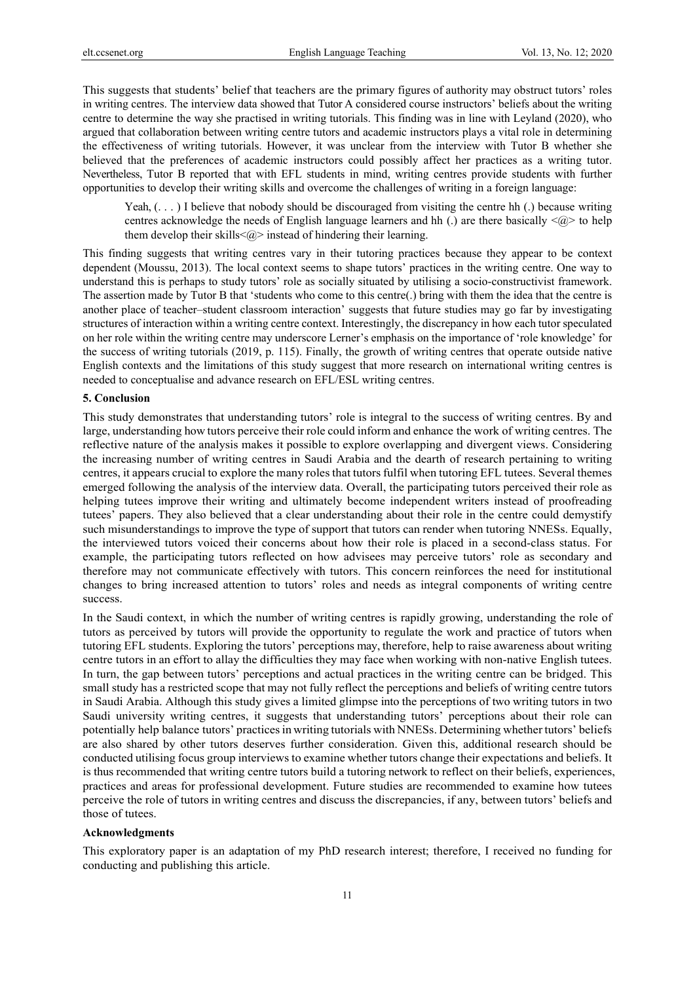This suggests that students' belief that teachers are the primary figures of authority may obstruct tutors' roles in writing centres. The interview data showed that Tutor A considered course instructors' beliefs about the writing centre to determine the way she practised in writing tutorials. This finding was in line with Leyland (2020), who argued that collaboration between writing centre tutors and academic instructors plays a vital role in determining the effectiveness of writing tutorials. However, it was unclear from the interview with Tutor B whether she believed that the preferences of academic instructors could possibly affect her practices as a writing tutor. Nevertheless, Tutor B reported that with EFL students in mind, writing centres provide students with further opportunities to develop their writing skills and overcome the challenges of writing in a foreign language:

Yeah,  $( \ldots )$  I believe that nobody should be discouraged from visiting the centre hh  $( . )$  because writing centres acknowledge the needs of English language learners and hh (.) are there basically  $\langle \omega \rangle$  to help them develop their skills $\leq$  instead of hindering their learning.

This finding suggests that writing centres vary in their tutoring practices because they appear to be context dependent (Moussu, 2013). The local context seems to shape tutors' practices in the writing centre. One way to understand this is perhaps to study tutors' role as socially situated by utilising a socio-constructivist framework. The assertion made by Tutor B that 'students who come to this centre(.) bring with them the idea that the centre is another place of teacher–student classroom interaction' suggests that future studies may go far by investigating structures of interaction within a writing centre context. Interestingly, the discrepancy in how each tutor speculated on her role within the writing centre may underscore Lerner's emphasis on the importance of 'role knowledge' for the success of writing tutorials (2019, p. 115). Finally, the growth of writing centres that operate outside native English contexts and the limitations of this study suggest that more research on international writing centres is needed to conceptualise and advance research on EFL/ESL writing centres.

#### **5. Conclusion**

This study demonstrates that understanding tutors' role is integral to the success of writing centres. By and large, understanding how tutors perceive their role could inform and enhance the work of writing centres. The reflective nature of the analysis makes it possible to explore overlapping and divergent views. Considering the increasing number of writing centres in Saudi Arabia and the dearth of research pertaining to writing centres, it appears crucial to explore the many roles that tutors fulfil when tutoring EFL tutees. Several themes emerged following the analysis of the interview data. Overall, the participating tutors perceived their role as helping tutees improve their writing and ultimately become independent writers instead of proofreading tutees' papers. They also believed that a clear understanding about their role in the centre could demystify such misunderstandings to improve the type of support that tutors can render when tutoring NNESs. Equally, the interviewed tutors voiced their concerns about how their role is placed in a second-class status. For example, the participating tutors reflected on how advisees may perceive tutors' role as secondary and therefore may not communicate effectively with tutors. This concern reinforces the need for institutional changes to bring increased attention to tutors' roles and needs as integral components of writing centre success.

In the Saudi context, in which the number of writing centres is rapidly growing, understanding the role of tutors as perceived by tutors will provide the opportunity to regulate the work and practice of tutors when tutoring EFL students. Exploring the tutors' perceptions may, therefore, help to raise awareness about writing centre tutors in an effort to allay the difficulties they may face when working with non-native English tutees. In turn, the gap between tutors' perceptions and actual practices in the writing centre can be bridged. This small study has a restricted scope that may not fully reflect the perceptions and beliefs of writing centre tutors in Saudi Arabia. Although this study gives a limited glimpse into the perceptions of two writing tutors in two Saudi university writing centres, it suggests that understanding tutors' perceptions about their role can potentially help balance tutors' practices in writing tutorials with NNESs. Determining whether tutors' beliefs are also shared by other tutors deserves further consideration. Given this, additional research should be conducted utilising focus group interviews to examine whether tutors change their expectations and beliefs. It is thus recommended that writing centre tutors build a tutoring network to reflect on their beliefs, experiences, practices and areas for professional development. Future studies are recommended to examine how tutees perceive the role of tutors in writing centres and discuss the discrepancies, if any, between tutors' beliefs and those of tutees.

#### **Acknowledgments**

This exploratory paper is an adaptation of my PhD research interest; therefore, I received no funding for conducting and publishing this article.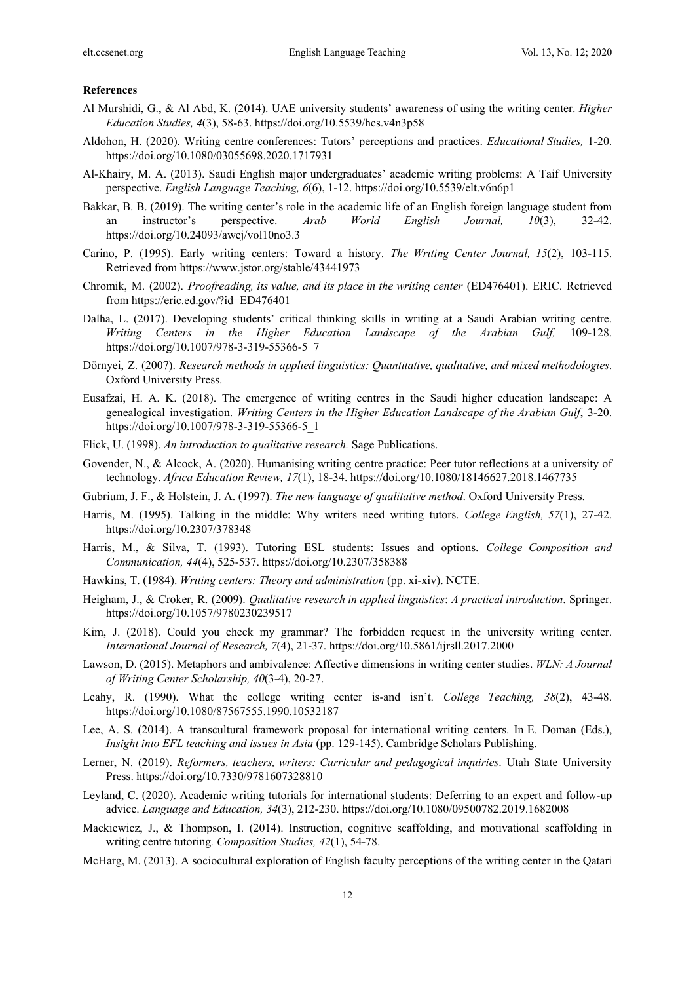#### **References**

- Al Murshidi, G., & Al Abd, K. (2014). UAE university students' awareness of using the writing center. *Higher Education Studies, 4*(3), 58-63. https://doi.org/10.5539/hes.v4n3p58
- Aldohon, H. (2020). Writing centre conferences: Tutors' perceptions and practices. *Educational Studies,* 1-20. https://doi.org/10.1080/03055698.2020.1717931
- Al-Khairy, M. A. (2013). Saudi English major undergraduates' academic writing problems: A Taif University perspective. *English Language Teaching, 6*(6), 1-12. https://doi.org/10.5539/elt.v6n6p1
- Bakkar, B. B. (2019). The writing center's role in the academic life of an English foreign language student from an instructor's perspective. *Arab World English Journal, 10*(3), 32-42. https://doi.org/10.24093/awej/vol10no3.3
- Carino, P. (1995). Early writing centers: Toward a history. *The Writing Center Journal, 15*(2), 103-115. Retrieved from https://www.jstor.org/stable/43441973
- Chromik, M. (2002). *Proofreading, its value, and its place in the writing center* (ED476401). ERIC. Retrieved from https://eric.ed.gov/?id=ED476401
- Dalha, L. (2017). Developing students' critical thinking skills in writing at a Saudi Arabian writing centre. *Writing Centers in the Higher Education Landscape of the Arabian Gulf,* 109-128. https://doi.org/10.1007/978-3-319-55366-5\_7
- Dörnyei, Z. (2007). *Research methods in applied linguistics: Quantitative, qualitative, and mixed methodologies*. Oxford University Press.
- Eusafzai, H. A. K. (2018). The emergence of writing centres in the Saudi higher education landscape: A genealogical investigation. *Writing Centers in the Higher Education Landscape of the Arabian Gulf*, 3-20. https://doi.org/10.1007/978-3-319-55366-5\_1
- Flick, U. (1998). *An introduction to qualitative research.* Sage Publications.
- Govender, N., & Alcock, A. (2020). Humanising writing centre practice: Peer tutor reflections at a university of technology. *Africa Education Review, 17*(1), 18-34. https://doi.org/10.1080/18146627.2018.1467735
- Gubrium, J. F., & Holstein, J. A. (1997). *The new language of qualitative method*. Oxford University Press.
- Harris, M. (1995). Talking in the middle: Why writers need writing tutors. *College English, 57*(1), 27-42. https://doi.org/10.2307/378348
- Harris, M., & Silva, T. (1993). Tutoring ESL students: Issues and options. *College Composition and Communication, 44*(4), 525-537. https://doi.org/10.2307/358388
- Hawkins, T. (1984). *Writing centers: Theory and administration* (pp. xi-xiv). NCTE.
- Heigham, J., & Croker, R. (2009). *Qualitative research in applied linguistics*: *A practical introduction*. Springer. https://doi.org/10.1057/9780230239517
- Kim, J. (2018). Could you check my grammar? The forbidden request in the university writing center. *International Journal of Research, 7*(4), 21-37. https://doi.org/10.5861/ijrsll.2017.2000
- Lawson, D. (2015). Metaphors and ambivalence: Affective dimensions in writing center studies. *WLN: A Journal of Writing Center Scholarship, 40*(3-4), 20-27.
- Leahy, R. (1990). What the college writing center is-and isn't. *College Teaching, 38*(2), 43-48. https://doi.org/10.1080/87567555.1990.10532187
- Lee, A. S. (2014). A transcultural framework proposal for international writing centers. In E. Doman (Eds.), *Insight into EFL teaching and issues in Asia* (pp. 129-145). Cambridge Scholars Publishing.
- Lerner, N. (2019). *Reformers, teachers, writers: Curricular and pedagogical inquiries*. Utah State University Press. https://doi.org/10.7330/9781607328810
- Leyland, C. (2020). Academic writing tutorials for international students: Deferring to an expert and follow-up advice. *Language and Education, 34*(3), 212-230. https://doi.org/10.1080/09500782.2019.1682008
- Mackiewicz, J., & Thompson, I. (2014). Instruction, cognitive scaffolding, and motivational scaffolding in writing centre tutoring*. Composition Studies, 42*(1), 54-78.
- McHarg, M. (2013). A sociocultural exploration of English faculty perceptions of the writing center in the Qatari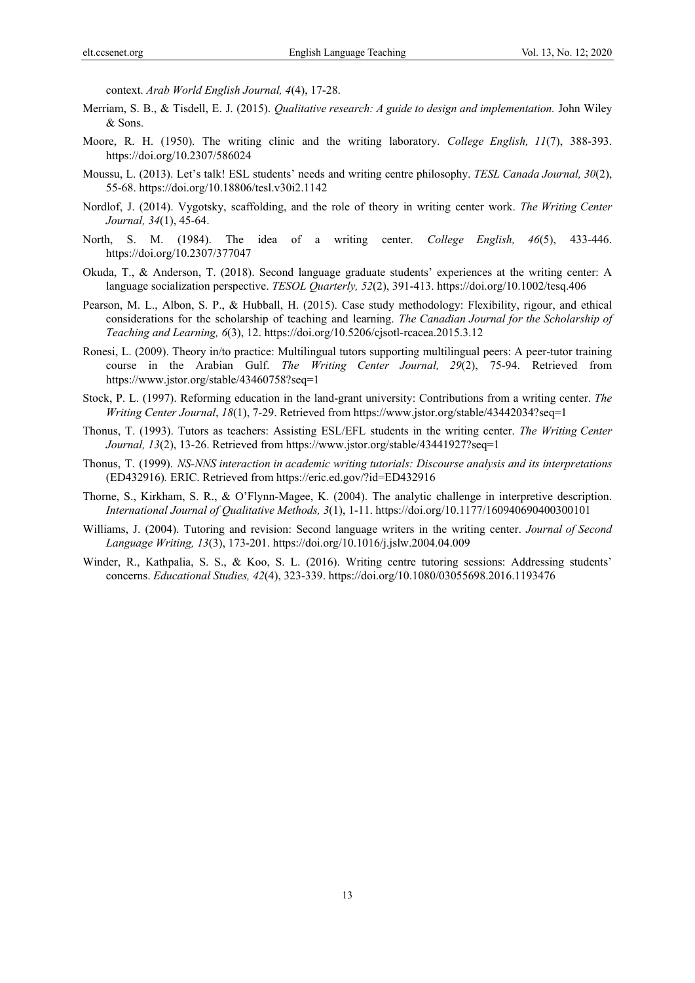context. *Arab World English Journal, 4*(4), 17-28.

- Merriam, S. B., & Tisdell, E. J. (2015). *Qualitative research: A guide to design and implementation.* John Wiley & Sons.
- Moore, R. H. (1950). The writing clinic and the writing laboratory. *College English, 11*(7), 388-393. https://doi.org/10.2307/586024
- Moussu, L. (2013). Let's talk! ESL students' needs and writing centre philosophy. *TESL Canada Journal, 30*(2), 55-68. https://doi.org/10.18806/tesl.v30i2.1142
- Nordlof, J. (2014). Vygotsky, scaffolding, and the role of theory in writing center work. *The Writing Center Journal, 34*(1), 45-64.
- North, S. M. (1984). The idea of a writing center. *College English, 46*(5), 433-446. https://doi.org/10.2307/377047
- Okuda, T., & Anderson, T. (2018). Second language graduate students' experiences at the writing center: A language socialization perspective. *TESOL Quarterly, 52*(2), 391-413. https://doi.org/10.1002/tesq.406
- Pearson, M. L., Albon, S. P., & Hubball, H. (2015). Case study methodology: Flexibility, rigour, and ethical considerations for the scholarship of teaching and learning. *The Canadian Journal for the Scholarship of Teaching and Learning, 6*(3), 12. https://doi.org/10.5206/cjsotl-rcacea.2015.3.12
- Ronesi, L. (2009). Theory in/to practice: Multilingual tutors supporting multilingual peers: A peer-tutor training course in the Arabian Gulf. *The Writing Center Journal, 29*(2), 75-94. Retrieved from https://www.jstor.org/stable/43460758?seq=1
- Stock, P. L. (1997). Reforming education in the land-grant university: Contributions from a writing center. *The Writing Center Journal*, *18*(1), 7-29. Retrieved from https://www.jstor.org/stable/43442034?seq=1
- Thonus, T. (1993). Tutors as teachers: Assisting ESL/EFL students in the writing center. *The Writing Center Journal, 13*(2), 13-26. Retrieved from https://www.jstor.org/stable/43441927?seq=1
- Thonus, T. (1999). *NS-NNS interaction in academic writing tutorials: Discourse analysis and its interpretations* (ED432916)*.* ERIC. Retrieved from https://eric.ed.gov/?id=ED432916
- Thorne, S., Kirkham, S. R., & O'Flynn-Magee, K. (2004). The analytic challenge in interpretive description. *International Journal of Qualitative Methods, 3*(1), 1-11. https://doi.org/10.1177/160940690400300101
- Williams, J. (2004). Tutoring and revision: Second language writers in the writing center. *Journal of Second Language Writing, 13*(3), 173-201. https://doi.org/10.1016/j.jslw.2004.04.009
- Winder, R., Kathpalia, S. S., & Koo, S. L. (2016). Writing centre tutoring sessions: Addressing students' concerns. *Educational Studies, 42*(4), 323-339. https://doi.org/10.1080/03055698.2016.1193476